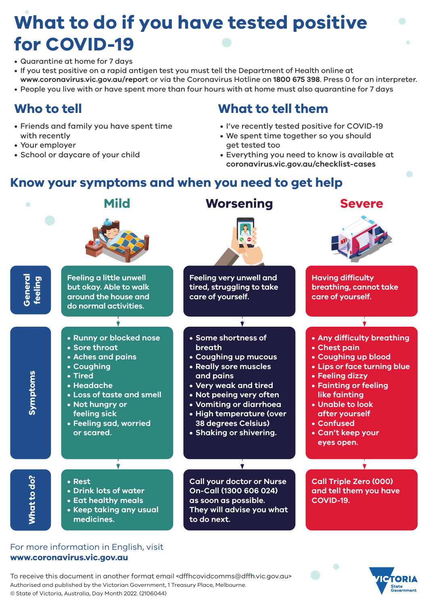# **What to do if you have tested positive for COVID-19**

- Quarantine at home for 7 days
- If you test positive on a rapid antigen test you must tell the Department of Health online at **www.coronavirus.vic.gov.au/repor**t or via the Coronavirus Hotline on **1800 675 398**. Press 0 for an interpreter.
- People you live with or have spent more than four hours with at home must also quarantine for 7 days

### **Who to tell**

- Friends and family you have spent time with recently
- Your employer
- School or daycare of your child

### **What to tell them**

- I've recently tested positive for COVID-19
- We spent time together so you should get tested too
- Everything you need to know is available at **coronavirus.vic.gov.au/checklist-cases**

State<br>Government

### **Know your symptoms and when you need to get help**



#### For more information in English, visit **www.coronavirus.vic.gov.au**

To receive this document in another format email <dffhcovidcomms@dffh.vic.gov.au> Authorised and published by the Victorian Government, 1 Treasury Place, Melbourne. © State of Victoria, Australia, Day Month 2022. (2106044)